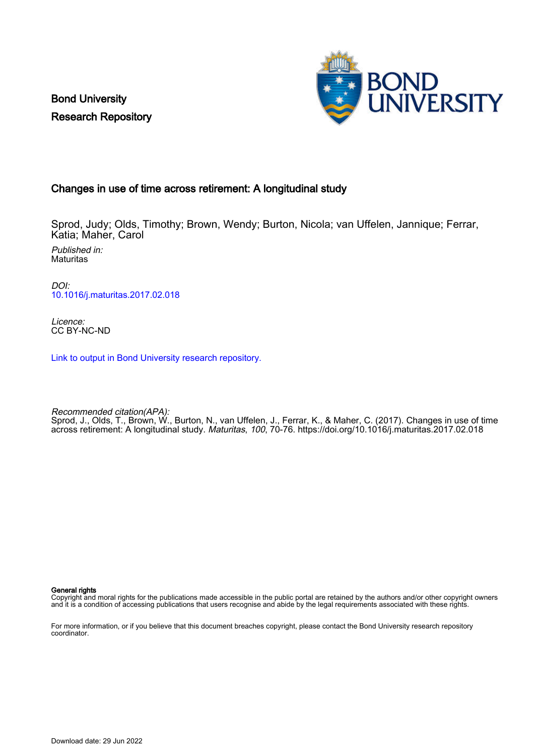Bond University Research Repository



## Changes in use of time across retirement: A longitudinal study

Sprod, Judy; Olds, Timothy; Brown, Wendy; Burton, Nicola; van Uffelen, Jannique; Ferrar, Katia; Maher, Carol

Published in: **Maturitas** 

DOI: [10.1016/j.maturitas.2017.02.018](https://doi.org/10.1016/j.maturitas.2017.02.018)

Licence: CC BY-NC-ND

[Link to output in Bond University research repository.](https://research.bond.edu.au/en/publications/9c588af5-039d-49bd-b53b-716db885fb9d)

Recommended citation(APA): Sprod, J., Olds, T., Brown, W., Burton, N., van Uffelen, J., Ferrar, K., & Maher, C. (2017). Changes in use of time across retirement: A longitudinal study. Maturitas, 100, 70-76. <https://doi.org/10.1016/j.maturitas.2017.02.018>

General rights

Copyright and moral rights for the publications made accessible in the public portal are retained by the authors and/or other copyright owners and it is a condition of accessing publications that users recognise and abide by the legal requirements associated with these rights.

For more information, or if you believe that this document breaches copyright, please contact the Bond University research repository coordinator.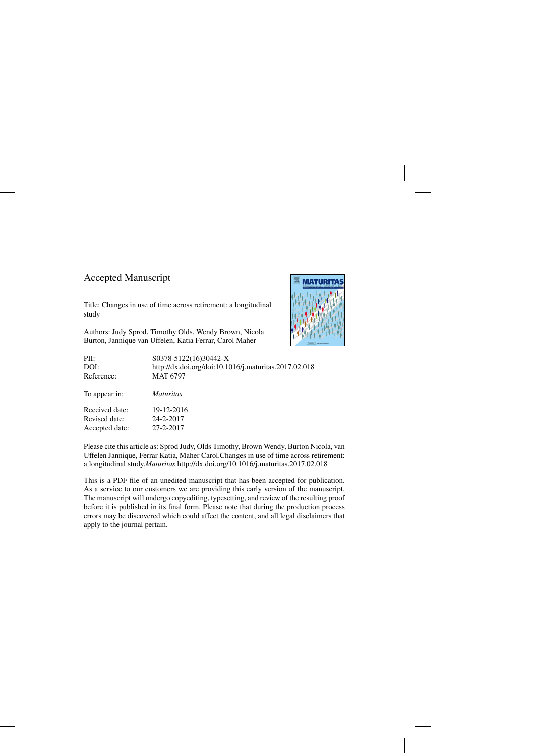## Accepted Manuscript

Accepted date: 27-2-2017

Title: Changes in use of time across retirement: a longitudinal study

Authors: Judy Sprod, Timothy Olds, Wendy Brown, Nicola Burton, Jannique van Uffelen, Katia Ferrar, Carol Maher



PII: S0378-5122(16)30442-X DOI:<http://dx.doi.org/doi:10.1016/j.maturitas.2017.02.018> Reference: MAT 6797 To appear in: *Maturitas* Received date: 19-12-2016 Revised date: 24-2-2017

Please cite this article as: Sprod Judy, Olds Timothy, Brown Wendy, Burton Nicola, van Uffelen Jannique, Ferrar Katia, Maher Carol.Changes in use of time across retirement: a longitudinal study.*Maturitas* <http://dx.doi.org/10.1016/j.maturitas.2017.02.018>

This is a PDF file of an unedited manuscript that has been accepted for publication. As a service to our customers we are providing this early version of the manuscript. The manuscript will undergo copyediting, typesetting, and review of the resulting proof before it is published in its final form. Please note that during the production process errors may be discovered which could affect the content, and all legal disclaimers that apply to the journal pertain.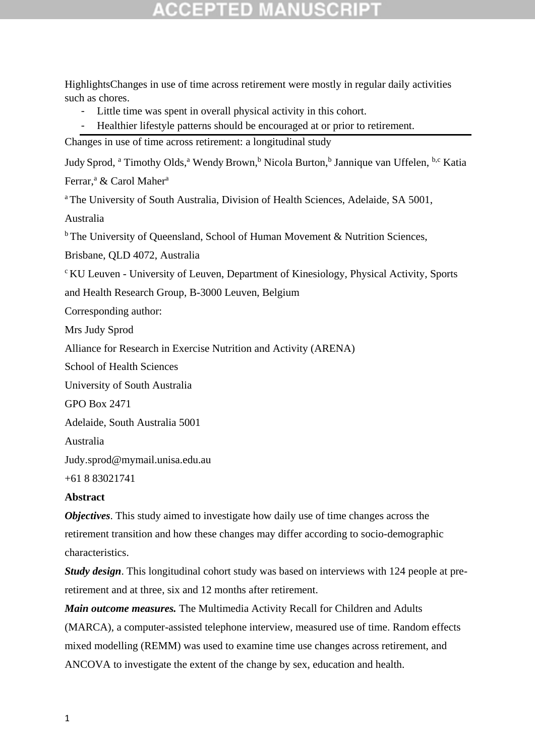## GGEPTED M

HighlightsChanges in use of time across retirement were mostly in regular daily activities such as chores.

- Little time was spent in overall physical activity in this cohort.
- Healthier lifestyle patterns should be encouraged at or prior to retirement.

Changes in use of time across retirement: a longitudinal study

Judy Sprod, <sup>a</sup> Timothy Olds,<sup>a</sup> Wendy Brown,<sup>b</sup> Nicola Burton,<sup>b</sup> Jannique van Uffelen, <sup>b,c</sup> Katia

Ferrar,<sup>a</sup> & Carol Maher<sup>a</sup>

<sup>a</sup>The University of South Australia, Division of Health Sciences, Adelaide, SA 5001,

Australia

 $b$ The University of Queensland, School of Human Movement & Nutrition Sciences,

Brisbane, QLD 4072, Australia

<sup>c</sup>KU Leuven - University of Leuven, Department of Kinesiology, Physical Activity, Sports

and Health Research Group, B-3000 Leuven, Belgium

Corresponding author:

Mrs Judy Sprod

Alliance for Research in Exercise Nutrition and Activity (ARENA)

School of Health Sciences

University of South Australia

GPO Box 2471

Adelaide, South Australia 5001

Australia

Judy.sprod@mymail.unisa.edu.au

+61 8 83021741

### **Abstract**

*Objectives*. This study aimed to investigate how daily use of time changes across the retirement transition and how these changes may differ according to socio-demographic characteristics.

*Study design*. This longitudinal cohort study was based on interviews with 124 people at preretirement and at three, six and 12 months after retirement.

*Main outcome measures.* The Multimedia Activity Recall for Children and Adults (MARCA), a computer-assisted telephone interview, measured use of time. Random effects mixed modelling (REMM) was used to examine time use changes across retirement, and ANCOVA to investigate the extent of the change by sex, education and health.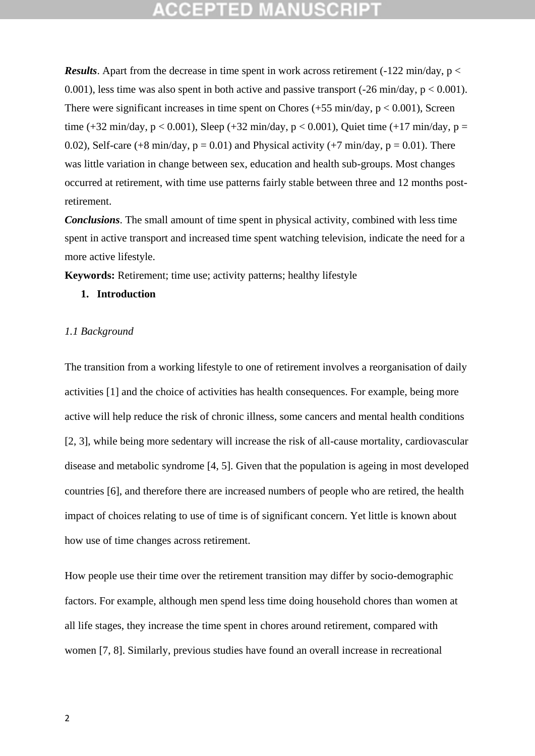## eeiptied

*Results*. Apart from the decrease in time spent in work across retirement (-122 min/day,  $p <$ 0.001), less time was also spent in both active and passive transport  $(-26 \text{ min/day}, p < 0.001)$ . There were significant increases in time spent on Chores  $(+55 \text{ min/day}, p < 0.001)$ , Screen time (+32 min/day,  $p < 0.001$ ), Sleep (+32 min/day,  $p < 0.001$ ), Quiet time (+17 min/day,  $p =$ 0.02), Self-care (+8 min/day,  $p = 0.01$ ) and Physical activity (+7 min/day,  $p = 0.01$ ). There was little variation in change between sex, education and health sub-groups. Most changes occurred at retirement, with time use patterns fairly stable between three and 12 months postretirement.

*Conclusions*. The small amount of time spent in physical activity, combined with less time spent in active transport and increased time spent watching television, indicate the need for a more active lifestyle.

**Keywords:** Retirement; time use; activity patterns; healthy lifestyle

### **1. Introduction**

### *1.1 Background*

The transition from a working lifestyle to one of retirement involves a reorganisation of daily activities [1] and the choice of activities has health consequences. For example, being more active will help reduce the risk of chronic illness, some cancers and mental health conditions [2, 3], while being more sedentary will increase the risk of all-cause mortality, cardiovascular disease and metabolic syndrome [4, 5]. Given that the population is ageing in most developed countries [6], and therefore there are increased numbers of people who are retired, the health impact of choices relating to use of time is of significant concern. Yet little is known about how use of time changes across retirement.

How people use their time over the retirement transition may differ by socio-demographic factors. For example, although men spend less time doing household chores than women at all life stages, they increase the time spent in chores around retirement, compared with women [7, 8]. Similarly, previous studies have found an overall increase in recreational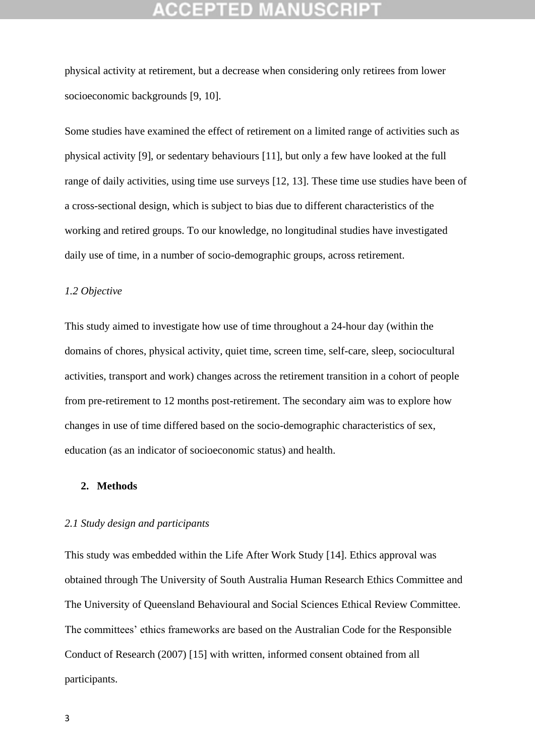## **CEPTED**

physical activity at retirement, but a decrease when considering only retirees from lower socioeconomic backgrounds [9, 10].

Some studies have examined the effect of retirement on a limited range of activities such as physical activity [9], or sedentary behaviours [11], but only a few have looked at the full range of daily activities, using time use surveys [12, 13]. These time use studies have been of a cross-sectional design, which is subject to bias due to different characteristics of the working and retired groups. To our knowledge, no longitudinal studies have investigated daily use of time, in a number of socio-demographic groups, across retirement.

### *1.2 Objective*

This study aimed to investigate how use of time throughout a 24-hour day (within the domains of chores, physical activity, quiet time, screen time, self-care, sleep, sociocultural activities, transport and work) changes across the retirement transition in a cohort of people from pre-retirement to 12 months post-retirement. The secondary aim was to explore how changes in use of time differed based on the socio-demographic characteristics of sex, education (as an indicator of socioeconomic status) and health.

### **2. Methods**

### *2.1 Study design and participants*

This study was embedded within the Life After Work Study [14]. Ethics approval was obtained through The University of South Australia Human Research Ethics Committee and The University of Queensland Behavioural and Social Sciences Ethical Review Committee. The committees' ethics frameworks are based on the Australian Code for the Responsible Conduct of Research (2007) [15] with written, informed consent obtained from all participants.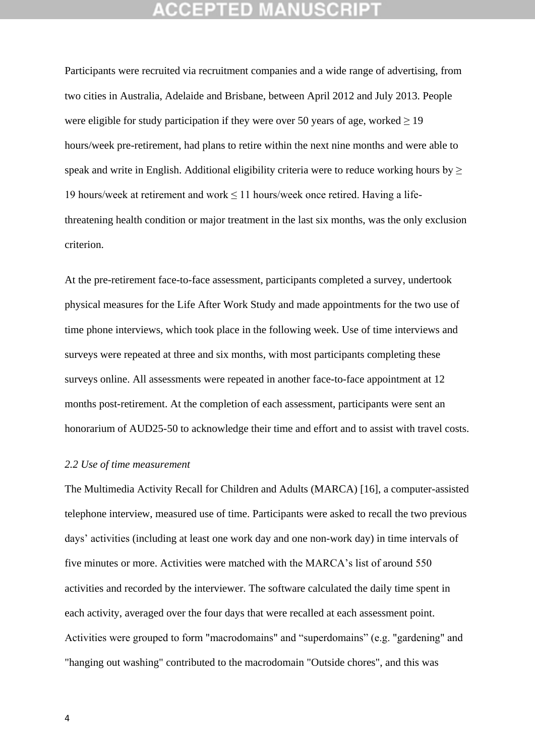Participants were recruited via recruitment companies and a wide range of advertising, from two cities in Australia, Adelaide and Brisbane, between April 2012 and July 2013. People were eligible for study participation if they were over 50 years of age, worked  $\geq$  19 hours/week pre-retirement, had plans to retire within the next nine months and were able to speak and write in English. Additional eligibility criteria were to reduce working hours by  $\geq$ 19 hours/week at retirement and work  $\leq$  11 hours/week once retired. Having a lifethreatening health condition or major treatment in the last six months, was the only exclusion criterion.

At the pre-retirement face-to-face assessment, participants completed a survey, undertook physical measures for the Life After Work Study and made appointments for the two use of time phone interviews, which took place in the following week. Use of time interviews and surveys were repeated at three and six months, with most participants completing these surveys online. All assessments were repeated in another face-to-face appointment at 12 months post-retirement. At the completion of each assessment, participants were sent an honorarium of AUD25-50 to acknowledge their time and effort and to assist with travel costs.

### *2.2 Use of time measurement*

The Multimedia Activity Recall for Children and Adults (MARCA) [16], a computer-assisted telephone interview, measured use of time. Participants were asked to recall the two previous days' activities (including at least one work day and one non-work day) in time intervals of five minutes or more. Activities were matched with the MARCA's list of around 550 activities and recorded by the interviewer. The software calculated the daily time spent in each activity, averaged over the four days that were recalled at each assessment point. Activities were grouped to form "macrodomains" and "superdomains" (e.g. "gardening" and "hanging out washing" contributed to the macrodomain "Outside chores", and this was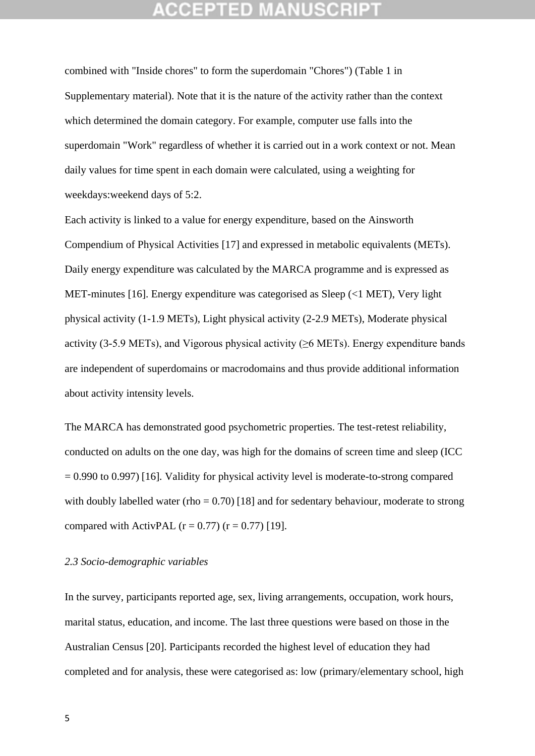combined with "Inside chores" to form the superdomain "Chores") (Table 1 in Supplementary material). Note that it is the nature of the activity rather than the context which determined the domain category. For example, computer use falls into the superdomain "Work" regardless of whether it is carried out in a work context or not. Mean daily values for time spent in each domain were calculated, using a weighting for weekdays:weekend days of 5:2.

Each activity is linked to a value for energy expenditure, based on the Ainsworth Compendium of Physical Activities [17] and expressed in metabolic equivalents (METs). Daily energy expenditure was calculated by the MARCA programme and is expressed as MET-minutes [16]. Energy expenditure was categorised as Sleep (<1 MET), Very light physical activity (1-1.9 METs), Light physical activity (2-2.9 METs), Moderate physical activity (3-5.9 METs), and Vigorous physical activity ( $\geq$ 6 METs). Energy expenditure bands are independent of superdomains or macrodomains and thus provide additional information about activity intensity levels.

The MARCA has demonstrated good psychometric properties. The test-retest reliability, conducted on adults on the one day, was high for the domains of screen time and sleep (ICC  $= 0.990$  to 0.997) [16]. Validity for physical activity level is moderate-to-strong compared with doubly labelled water (rho =  $0.70$ ) [18] and for sedentary behaviour, moderate to strong compared with ActivPAL  $(r = 0.77)$   $(r = 0.77)$  [19].

### *2.3 Socio-demographic variables*

In the survey, participants reported age, sex, living arrangements, occupation, work hours, marital status, education, and income. The last three questions were based on those in the Australian Census [20]. Participants recorded the highest level of education they had completed and for analysis, these were categorised as: low (primary/elementary school, high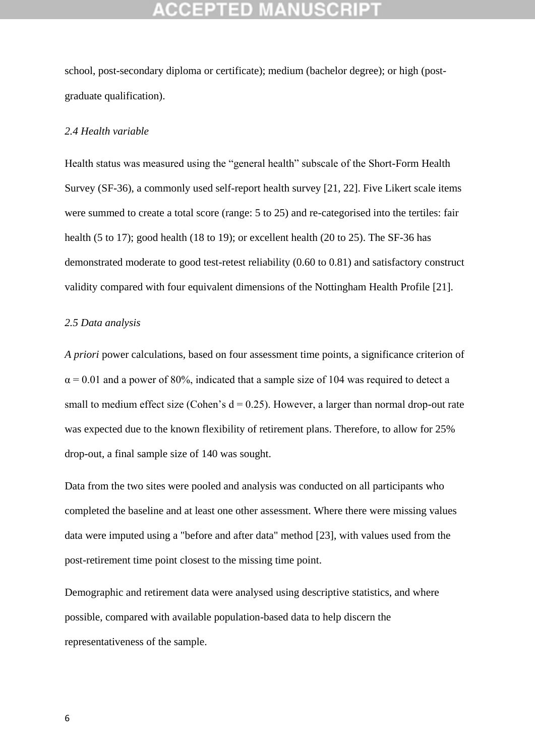school, post-secondary diploma or certificate); medium (bachelor degree); or high (postgraduate qualification).

### *2.4 Health variable*

Health status was measured using the "general health" subscale of the Short-Form Health Survey (SF-36), a commonly used self-report health survey [21, 22]. Five Likert scale items were summed to create a total score (range: 5 to 25) and re-categorised into the tertiles: fair health (5 to 17); good health (18 to 19); or excellent health (20 to 25). The SF-36 has demonstrated moderate to good test-retest reliability (0.60 to 0.81) and satisfactory construct validity compared with four equivalent dimensions of the Nottingham Health Profile [21].

### *2.5 Data analysis*

*A priori* power calculations, based on four assessment time points, a significance criterion of  $\alpha$  = 0.01 and a power of 80%, indicated that a sample size of 104 was required to detect a small to medium effect size (Cohen's  $d = 0.25$ ). However, a larger than normal drop-out rate was expected due to the known flexibility of retirement plans. Therefore, to allow for 25% drop-out, a final sample size of 140 was sought.

Data from the two sites were pooled and analysis was conducted on all participants who completed the baseline and at least one other assessment. Where there were missing values data were imputed using a "before and after data" method [23], with values used from the post-retirement time point closest to the missing time point.

Demographic and retirement data were analysed using descriptive statistics, and where possible, compared with available population-based data to help discern the representativeness of the sample.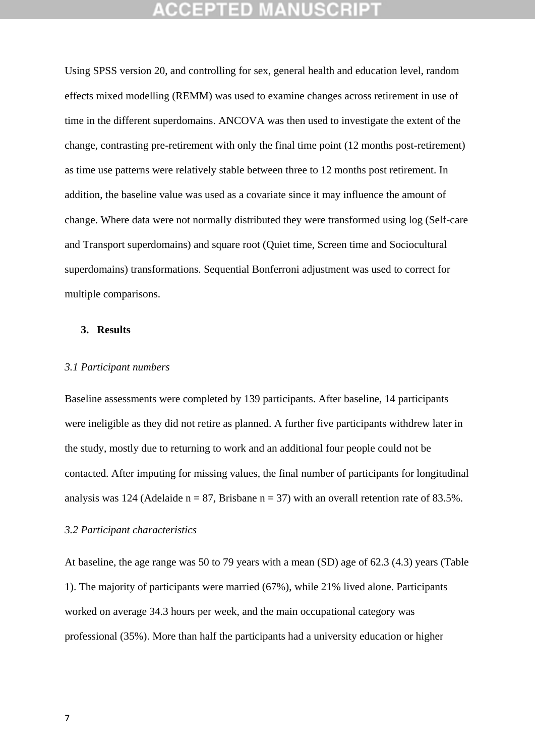Using SPSS version 20, and controlling for sex, general health and education level, random effects mixed modelling (REMM) was used to examine changes across retirement in use of time in the different superdomains. ANCOVA was then used to investigate the extent of the change, contrasting pre-retirement with only the final time point (12 months post-retirement) as time use patterns were relatively stable between three to 12 months post retirement. In addition, the baseline value was used as a covariate since it may influence the amount of change. Where data were not normally distributed they were transformed using log (Self-care and Transport superdomains) and square root (Quiet time, Screen time and Sociocultural superdomains) transformations. Sequential Bonferroni adjustment was used to correct for multiple comparisons.

### **3. Results**

### *3.1 Participant numbers*

Baseline assessments were completed by 139 participants. After baseline, 14 participants were ineligible as they did not retire as planned. A further five participants withdrew later in the study, mostly due to returning to work and an additional four people could not be contacted. After imputing for missing values, the final number of participants for longitudinal analysis was 124 (Adelaide  $n = 87$ , Brisbane  $n = 37$ ) with an overall retention rate of 83.5%.

### *3.2 Participant characteristics*

At baseline, the age range was 50 to 79 years with a mean (SD) age of 62.3 (4.3) years (Table 1). The majority of participants were married (67%), while 21% lived alone. Participants worked on average 34.3 hours per week, and the main occupational category was professional (35%). More than half the participants had a university education or higher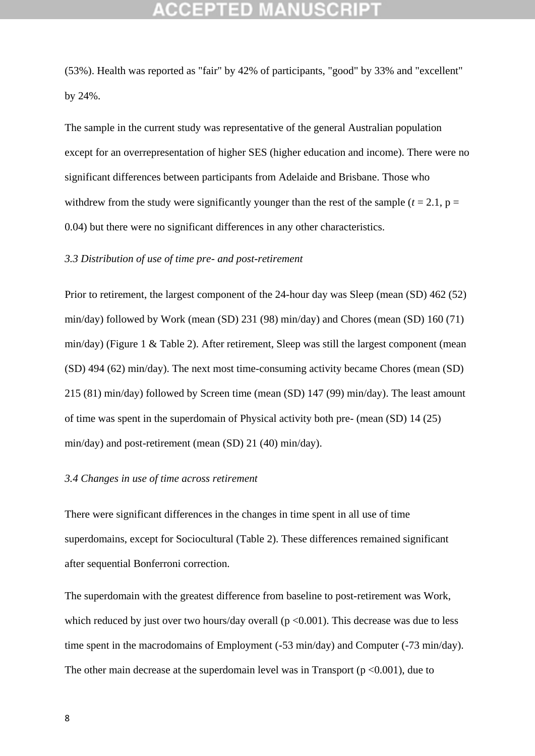(53%). Health was reported as "fair" by 42% of participants, "good" by 33% and "excellent" by 24%.

The sample in the current study was representative of the general Australian population except for an overrepresentation of higher SES (higher education and income). There were no significant differences between participants from Adelaide and Brisbane. Those who withdrew from the study were significantly younger than the rest of the sample ( $t = 2.1$ ,  $p =$ 0.04) but there were no significant differences in any other characteristics.

### *3.3 Distribution of use of time pre- and post-retirement*

Prior to retirement, the largest component of the 24-hour day was Sleep (mean (SD) 462 (52) min/day) followed by Work (mean (SD) 231 (98) min/day) and Chores (mean (SD) 160 (71) min/day) (Figure 1 & Table 2). After retirement, Sleep was still the largest component (mean (SD) 494 (62) min/day). The next most time-consuming activity became Chores (mean (SD) 215 (81) min/day) followed by Screen time (mean (SD) 147 (99) min/day). The least amount of time was spent in the superdomain of Physical activity both pre- (mean (SD) 14 (25) min/day) and post-retirement (mean (SD) 21 (40) min/day).

### *3.4 Changes in use of time across retirement*

There were significant differences in the changes in time spent in all use of time superdomains, except for Sociocultural (Table 2). These differences remained significant after sequential Bonferroni correction.

The superdomain with the greatest difference from baseline to post-retirement was Work, which reduced by just over two hours/day overall  $(p \le 0.001)$ . This decrease was due to less time spent in the macrodomains of Employment (-53 min/day) and Computer (-73 min/day). The other main decrease at the superdomain level was in Transport  $(p < 0.001)$ , due to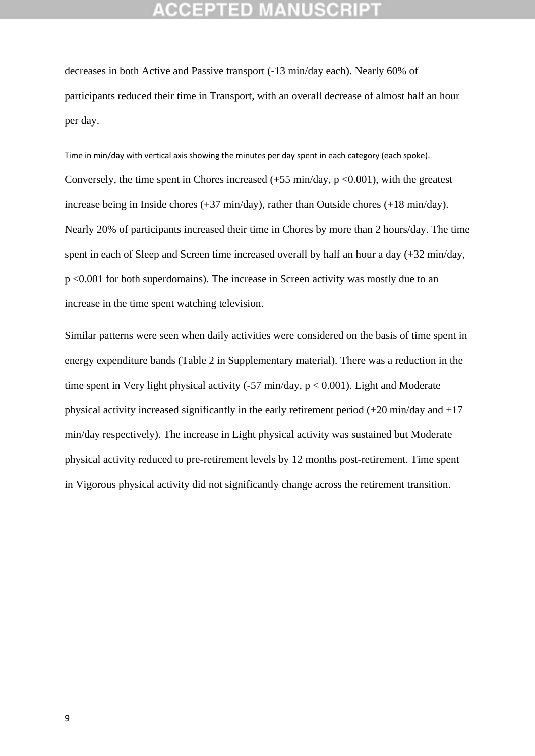decreases in both Active and Passive transport (-13 min/day each). Nearly 60% of participants reduced their time in Transport, with an overall decrease of almost half an hour per day.

Time in min/day with vertical axis showing the minutes per day spent in each category (each spoke). Conversely, the time spent in Chores increased  $(+55 \text{ min/day}, p < 0.001)$ , with the greatest increase being in Inside chores (+37 min/day), rather than Outside chores (+18 min/day). Nearly 20% of participants increased their time in Chores by more than 2 hours/day. The time spent in each of Sleep and Screen time increased overall by half an hour a day (+32 min/day, p <0.001 for both superdomains). The increase in Screen activity was mostly due to an increase in the time spent watching television.

Similar patterns were seen when daily activities were considered on the basis of time spent in energy expenditure bands (Table 2 in Supplementary material). There was a reduction in the time spent in Very light physical activity  $(-57 \text{ min/day}, p < 0.001)$ . Light and Moderate physical activity increased significantly in the early retirement period (+20 min/day and +17 min/day respectively). The increase in Light physical activity was sustained but Moderate physical activity reduced to pre-retirement levels by 12 months post-retirement. Time spent in Vigorous physical activity did not significantly change across the retirement transition.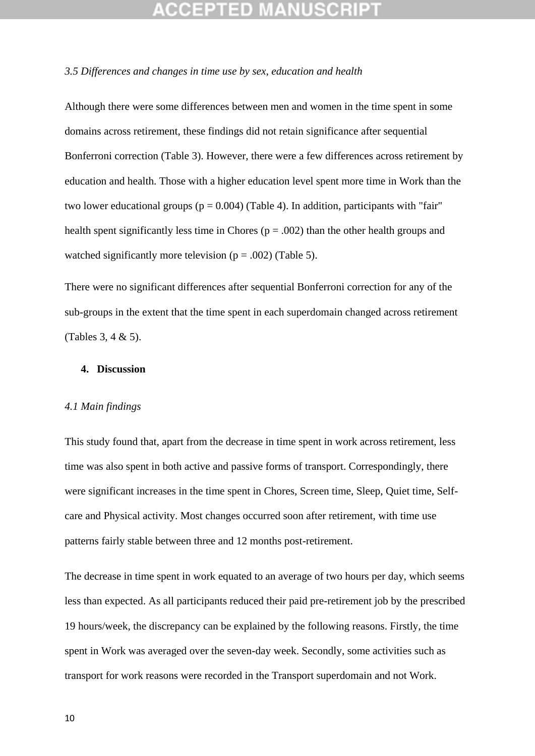### *3.5 Differences and changes in time use by sex, education and health*

Although there were some differences between men and women in the time spent in some domains across retirement, these findings did not retain significance after sequential Bonferroni correction (Table 3). However, there were a few differences across retirement by education and health. Those with a higher education level spent more time in Work than the two lower educational groups ( $p = 0.004$ ) (Table 4). In addition, participants with "fair" health spent significantly less time in Chores ( $p = .002$ ) than the other health groups and watched significantly more television ( $p = .002$ ) (Table 5).

There were no significant differences after sequential Bonferroni correction for any of the sub-groups in the extent that the time spent in each superdomain changed across retirement (Tables 3, 4 & 5).

### **4. Discussion**

### *4.1 Main findings*

This study found that, apart from the decrease in time spent in work across retirement, less time was also spent in both active and passive forms of transport. Correspondingly, there were significant increases in the time spent in Chores, Screen time, Sleep, Quiet time, Selfcare and Physical activity. Most changes occurred soon after retirement, with time use patterns fairly stable between three and 12 months post-retirement.

The decrease in time spent in work equated to an average of two hours per day, which seems less than expected. As all participants reduced their paid pre-retirement job by the prescribed 19 hours/week, the discrepancy can be explained by the following reasons. Firstly, the time spent in Work was averaged over the seven-day week. Secondly, some activities such as transport for work reasons were recorded in the Transport superdomain and not Work.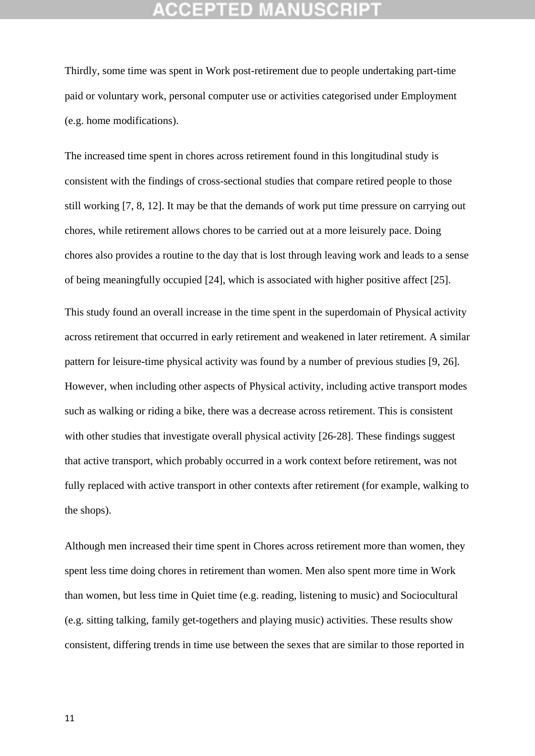Thirdly, some time was spent in Work post-retirement due to people undertaking part-time paid or voluntary work, personal computer use or activities categorised under Employment (e.g. home modifications).

The increased time spent in chores across retirement found in this longitudinal study is consistent with the findings of cross-sectional studies that compare retired people to those still working [7, 8, 12]. It may be that the demands of work put time pressure on carrying out chores, while retirement allows chores to be carried out at a more leisurely pace. Doing chores also provides a routine to the day that is lost through leaving work and leads to a sense of being meaningfully occupied [24], which is associated with higher positive affect [25].

This study found an overall increase in the time spent in the superdomain of Physical activity across retirement that occurred in early retirement and weakened in later retirement. A similar pattern for leisure-time physical activity was found by a number of previous studies [9, 26]. However, when including other aspects of Physical activity, including active transport modes such as walking or riding a bike, there was a decrease across retirement. This is consistent with other studies that investigate overall physical activity [26-28]. These findings suggest that active transport, which probably occurred in a work context before retirement, was not fully replaced with active transport in other contexts after retirement (for example, walking to the shops).

Although men increased their time spent in Chores across retirement more than women, they spent less time doing chores in retirement than women. Men also spent more time in Work than women, but less time in Quiet time (e.g. reading, listening to music) and Sociocultural (e.g. sitting talking, family get-togethers and playing music) activities. These results show consistent, differing trends in time use between the sexes that are similar to those reported in

11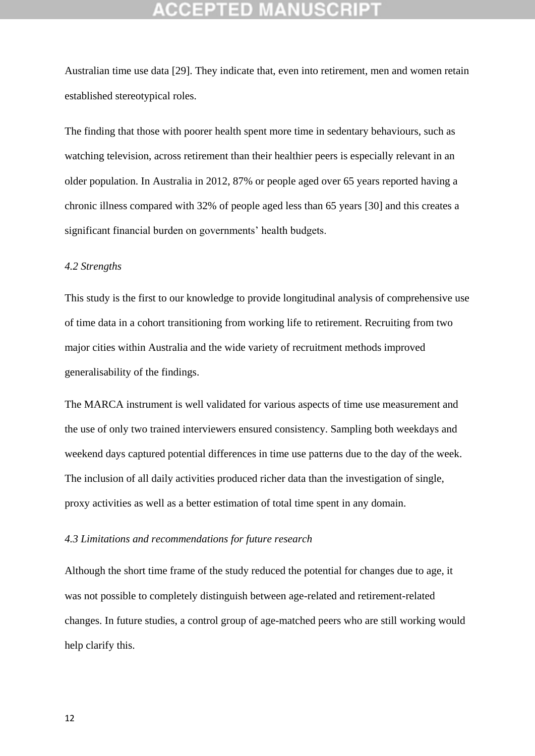Australian time use data [29]. They indicate that, even into retirement, men and women retain established stereotypical roles.

The finding that those with poorer health spent more time in sedentary behaviours, such as watching television, across retirement than their healthier peers is especially relevant in an older population. In Australia in 2012, 87% or people aged over 65 years reported having a chronic illness compared with 32% of people aged less than 65 years [30] and this creates a significant financial burden on governments' health budgets.

### *4.2 Strengths*

This study is the first to our knowledge to provide longitudinal analysis of comprehensive use of time data in a cohort transitioning from working life to retirement. Recruiting from two major cities within Australia and the wide variety of recruitment methods improved generalisability of the findings.

The MARCA instrument is well validated for various aspects of time use measurement and the use of only two trained interviewers ensured consistency. Sampling both weekdays and weekend days captured potential differences in time use patterns due to the day of the week. The inclusion of all daily activities produced richer data than the investigation of single, proxy activities as well as a better estimation of total time spent in any domain.

### *4.3 Limitations and recommendations for future research*

Although the short time frame of the study reduced the potential for changes due to age, it was not possible to completely distinguish between age-related and retirement-related changes. In future studies, a control group of age-matched peers who are still working would help clarify this.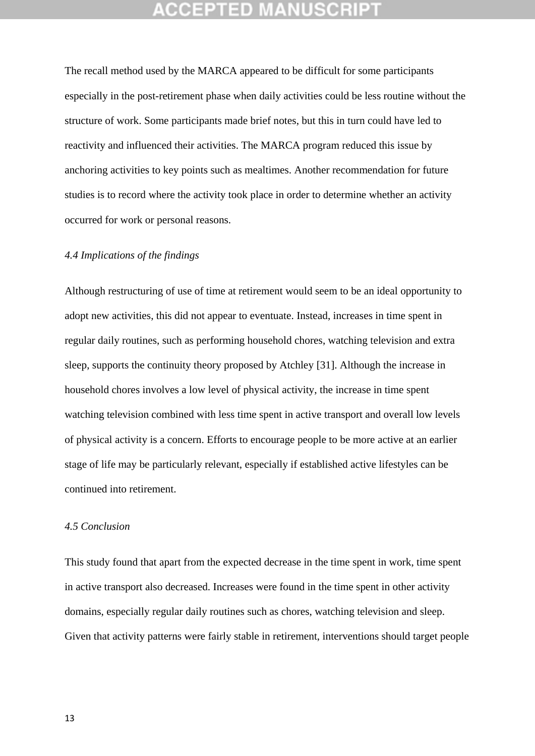The recall method used by the MARCA appeared to be difficult for some participants especially in the post-retirement phase when daily activities could be less routine without the structure of work. Some participants made brief notes, but this in turn could have led to reactivity and influenced their activities. The MARCA program reduced this issue by anchoring activities to key points such as mealtimes. Another recommendation for future studies is to record where the activity took place in order to determine whether an activity occurred for work or personal reasons.

### *4.4 Implications of the findings*

Although restructuring of use of time at retirement would seem to be an ideal opportunity to adopt new activities, this did not appear to eventuate. Instead, increases in time spent in regular daily routines, such as performing household chores, watching television and extra sleep, supports the continuity theory proposed by Atchley [31]. Although the increase in household chores involves a low level of physical activity, the increase in time spent watching television combined with less time spent in active transport and overall low levels of physical activity is a concern. Efforts to encourage people to be more active at an earlier stage of life may be particularly relevant, especially if established active lifestyles can be continued into retirement.

### *4.5 Conclusion*

This study found that apart from the expected decrease in the time spent in work, time spent in active transport also decreased. Increases were found in the time spent in other activity domains, especially regular daily routines such as chores, watching television and sleep. Given that activity patterns were fairly stable in retirement, interventions should target people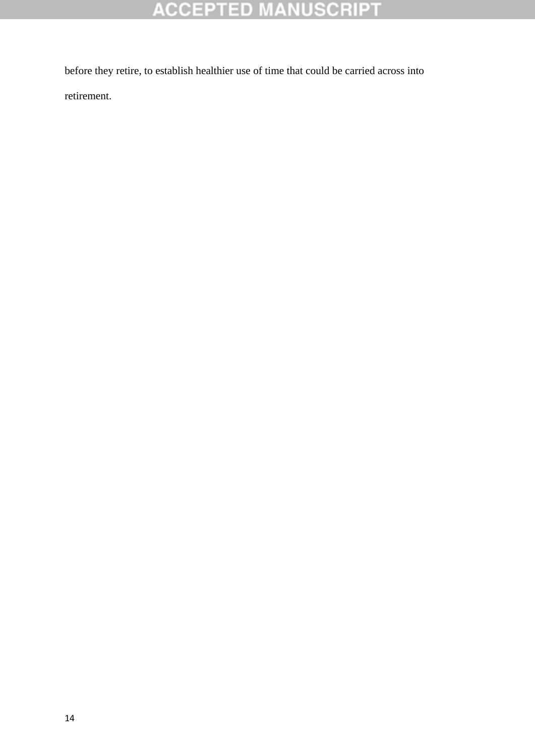# **ACCEPTED MANUSCRIPT**

before they retire, to establish healthier use of time that could be carried across into retirement.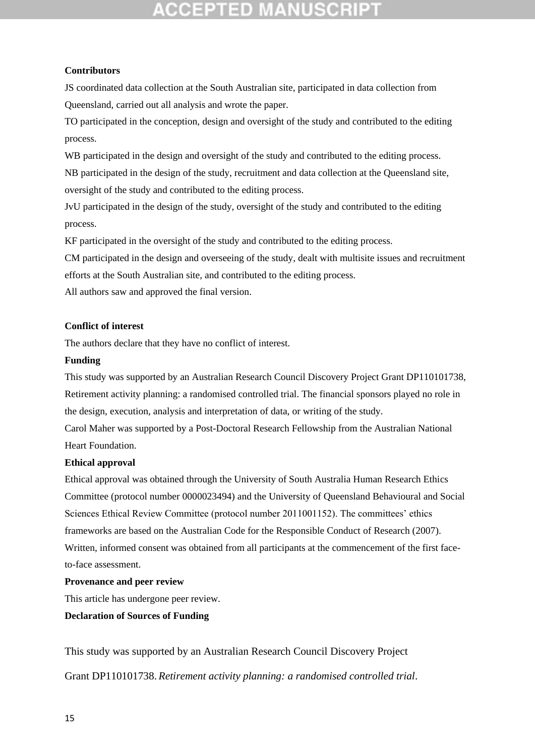## :CEPTED

### **Contributors**

JS coordinated data collection at the South Australian site, participated in data collection from Queensland, carried out all analysis and wrote the paper.

TO participated in the conception, design and oversight of the study and contributed to the editing process.

WB participated in the design and oversight of the study and contributed to the editing process. NB participated in the design of the study, recruitment and data collection at the Queensland site, oversight of the study and contributed to the editing process.

JvU participated in the design of the study, oversight of the study and contributed to the editing process.

KF participated in the oversight of the study and contributed to the editing process.

CM participated in the design and overseeing of the study, dealt with multisite issues and recruitment efforts at the South Australian site, and contributed to the editing process.

All authors saw and approved the final version.

### **Conflict of interest**

The authors declare that they have no conflict of interest.

### **Funding**

This study was supported by an Australian Research Council Discovery Project Grant DP110101738, Retirement activity planning: a randomised controlled trial. The financial sponsors played no role in the design, execution, analysis and interpretation of data, or writing of the study.

Carol Maher was supported by a Post-Doctoral Research Fellowship from the Australian National Heart Foundation.

### **Ethical approval**

Ethical approval was obtained through the University of South Australia Human Research Ethics Committee (protocol number 0000023494) and the University of Queensland Behavioural and Social Sciences Ethical Review Committee (protocol number 2011001152). The committees' ethics frameworks are based on the Australian Code for the Responsible Conduct of Research (2007). Written, informed consent was obtained from all participants at the commencement of the first faceto-face assessment.

### **Provenance and peer review**

This article has undergone peer review.

**Declaration of Sources of Funding**

This study was supported by an Australian Research Council Discovery Project

Grant DP110101738. *Retirement activity planning: a randomised controlled trial*.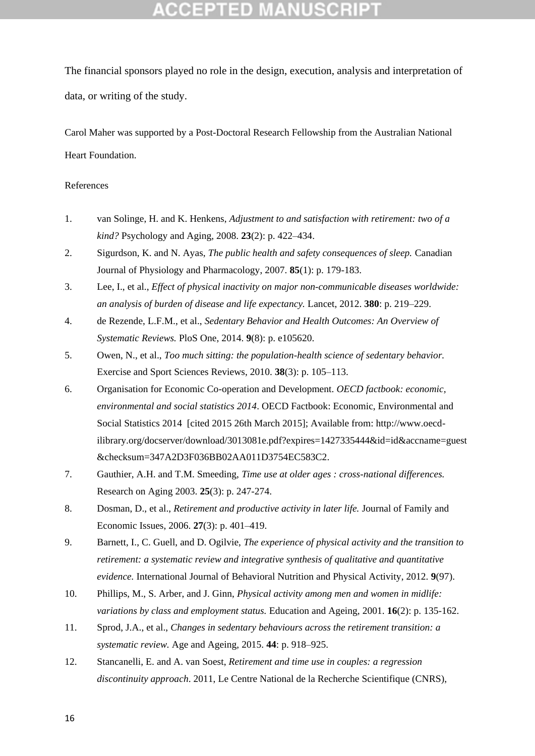## CCEPTED MANUSCR

The financial sponsors played no role in the design, execution, analysis and interpretation of data, or writing of the study.

Carol Maher was supported by a Post-Doctoral Research Fellowship from the Australian National Heart Foundation.

### References

- 1. van Solinge, H. and K. Henkens, *Adjustment to and satisfaction with retirement: two of a kind?* Psychology and Aging, 2008. **23**(2): p. 422–434.
- 2. Sigurdson, K. and N. Ayas, *The public health and safety consequences of sleep.* Canadian Journal of Physiology and Pharmacology, 2007. **85**(1): p. 179-183.
- 3. Lee, I., et al., *Effect of physical inactivity on major non-communicable diseases worldwide: an analysis of burden of disease and life expectancy.* Lancet, 2012. **380**: p. 219–229.
- 4. de Rezende, L.F.M., et al., *Sedentary Behavior and Health Outcomes: An Overview of Systematic Reviews.* PloS One, 2014. **9**(8): p. e105620.
- 5. Owen, N., et al., *Too much sitting: the population-health science of sedentary behavior.* Exercise and Sport Sciences Reviews, 2010. **38**(3): p. 105–113.
- 6. Organisation for Economic Co-operation and Development. *OECD factbook: economic, environmental and social statistics 2014*. OECD Factbook: Economic, Environmental and Social Statistics 2014 [cited 2015 26th March 2015]; Available from: http://www.oecdilibrary.org/docserver/download/3013081e.pdf?expires=1427335444&id=id&accname=guest &checksum=347A2D3F036BB02AA011D3754EC583C2.
- 7. Gauthier, A.H. and T.M. Smeeding, *Time use at older ages : cross-national differences.* Research on Aging 2003. **25**(3): p. 247-274.
- 8. Dosman, D., et al., *Retirement and productive activity in later life.* Journal of Family and Economic Issues, 2006. **27**(3): p. 401–419.
- 9. Barnett, I., C. Guell, and D. Ogilvie, *The experience of physical activity and the transition to retirement: a systematic review and integrative synthesis of qualitative and quantitative evidence.* International Journal of Behavioral Nutrition and Physical Activity, 2012. **9**(97).
- 10. Phillips, M., S. Arber, and J. Ginn, *Physical activity among men and women in midlife: variations by class and employment status.* Education and Ageing, 2001. **16**(2): p. 135-162.
- 11. Sprod, J.A., et al., *Changes in sedentary behaviours across the retirement transition: a systematic review.* Age and Ageing, 2015. **44**: p. 918–925.
- 12. Stancanelli, E. and A. van Soest, *Retirement and time use in couples: a regression discontinuity approach*. 2011, Le Centre National de la Recherche Scientifique (CNRS),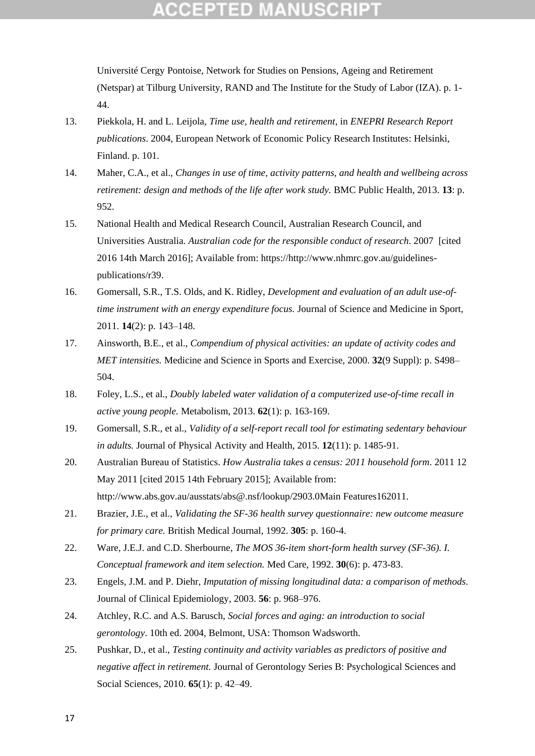## CCEPTED

Université Cergy Pontoise, Network for Studies on Pensions, Ageing and Retirement (Netspar) at Tilburg University, RAND and The Institute for the Study of Labor (IZA). p. 1- 44.

- 13. Piekkola, H. and L. Leijola, *Time use, health and retirement*, in *ENEPRI Research Report publications*. 2004, European Network of Economic Policy Research Institutes: Helsinki, Finland. p. 101.
- 14. Maher, C.A., et al., *Changes in use of time, activity patterns, and health and wellbeing across retirement: design and methods of the life after work study.* BMC Public Health, 2013. **13**: p. 952.
- 15. National Health and Medical Research Council, Australian Research Council, and Universities Australia. *Australian code for the responsible conduct of research*. 2007 [cited 2016 14th March 2016]; Available from: https://http://www.nhmrc.gov.au/guidelinespublications/r39.
- 16. Gomersall, S.R., T.S. Olds, and K. Ridley, *Development and evaluation of an adult use-oftime instrument with an energy expenditure focus.* Journal of Science and Medicine in Sport, 2011. **14**(2): p. 143–148.
- 17. Ainsworth, B.E., et al., *Compendium of physical activities: an update of activity codes and MET intensities.* Medicine and Science in Sports and Exercise, 2000. **32**(9 Suppl): p. S498– 504.
- 18. Foley, L.S., et al., *Doubly labeled water validation of a computerized use-of-time recall in active young people.* Metabolism, 2013. **62**(1): p. 163-169.
- 19. Gomersall, S.R., et al., *Validity of a self-report recall tool for estimating sedentary behaviour in adults.* Journal of Physical Activity and Health, 2015. **12**(11): p. 1485-91.
- 20. Australian Bureau of Statistics. *How Australia takes a census: 2011 household form*. 2011 12 May 2011 [cited 2015 14th February 2015]; Available from: http://www.abs.gov.au/ausstats/abs@.nsf/lookup/2903.0Main Features162011.
- 21. Brazier, J.E., et al., *Validating the SF-36 health survey questionnaire: new outcome measure for primary care.* British Medical Journal, 1992. **305**: p. 160-4.
- 22. Ware, J.E.J. and C.D. Sherbourne, *The MOS 36-item short-form health survey (SF-36). I. Conceptual framework and item selection.* Med Care, 1992. **30**(6): p. 473-83.
- 23. Engels, J.M. and P. Diehr, *Imputation of missing longitudinal data: a comparison of methods.* Journal of Clinical Epidemiology, 2003. **56**: p. 968–976.
- 24. Atchley, R.C. and A.S. Barusch, *Social forces and aging: an introduction to social gerontology*. 10th ed. 2004, Belmont, USA: Thomson Wadsworth.
- 25. Pushkar, D., et al., *Testing continuity and activity variables as predictors of positive and negative affect in retirement.* Journal of Gerontology Series B: Psychological Sciences and Social Sciences, 2010. **65**(1): p. 42–49.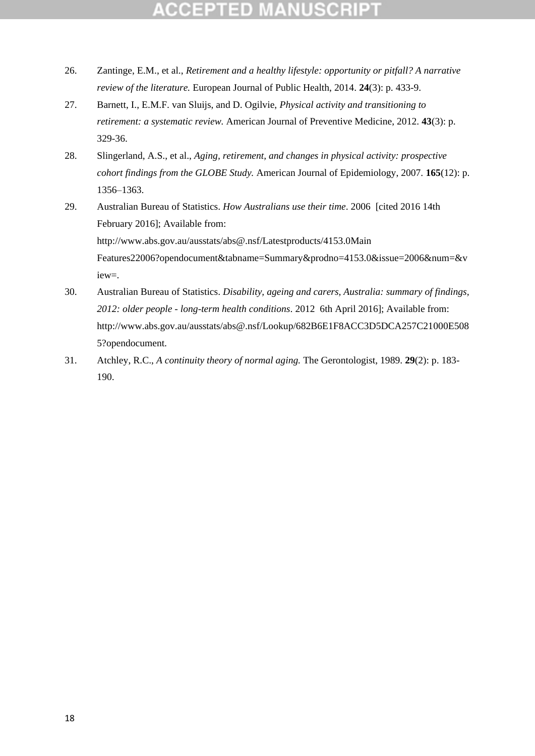- 26. Zantinge, E.M., et al., *Retirement and a healthy lifestyle: opportunity or pitfall? A narrative review of the literature.* European Journal of Public Health, 2014. **24**(3): p. 433-9.
- 27. Barnett, I., E.M.F. van Sluijs, and D. Ogilvie, *Physical activity and transitioning to retirement: a systematic review.* American Journal of Preventive Medicine, 2012. **43**(3): p. 329-36.
- 28. Slingerland, A.S., et al., *Aging, retirement, and changes in physical activity: prospective cohort findings from the GLOBE Study.* American Journal of Epidemiology, 2007. **165**(12): p. 1356–1363.
- 29. Australian Bureau of Statistics. *How Australians use their time*. 2006 [cited 2016 14th February 2016]; Available from: http://www.abs.gov.au/ausstats/abs@.nsf/Latestproducts/4153.0Main Features22006?opendocument&tabname=Summary&prodno=4153.0&issue=2006&num=&v iew=.
- 30. Australian Bureau of Statistics. *Disability, ageing and carers, Australia: summary of findings, 2012: older people - long-term health conditions*. 2012 6th April 2016]; Available from: http://www.abs.gov.au/ausstats/abs@.nsf/Lookup/682B6E1F8ACC3D5DCA257C21000E508 5?opendocument.
- 31. Atchley, R.C., *A continuity theory of normal aging.* The Gerontologist, 1989. **29**(2): p. 183- 190.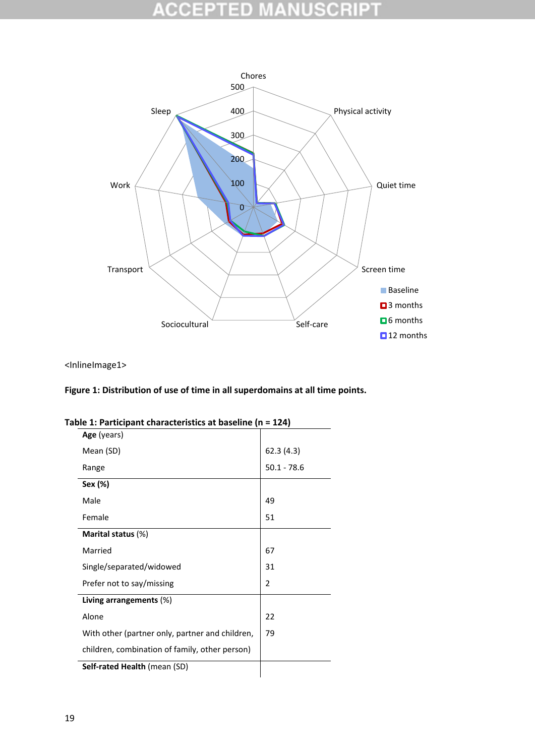### **CCEPTED NUSCRIPT** W  $\frac{1}{2}$ u,



<InlineImage1>

### **Figure 1: Distribution of use of time in all superdomains at all time points.**

| ble 1. Farticipalit tharacteristics at baseme $(n - 124)$ |                |  |  |  |  |  |  |  |  |
|-----------------------------------------------------------|----------------|--|--|--|--|--|--|--|--|
| Age (years)                                               |                |  |  |  |  |  |  |  |  |
| Mean (SD)                                                 | 62.3 (4.3)     |  |  |  |  |  |  |  |  |
| Range                                                     | $50.1 - 78.6$  |  |  |  |  |  |  |  |  |
| Sex (%)                                                   |                |  |  |  |  |  |  |  |  |
| Male                                                      | 49             |  |  |  |  |  |  |  |  |
| Female                                                    | 51             |  |  |  |  |  |  |  |  |
| Marital status (%)                                        |                |  |  |  |  |  |  |  |  |
| Married                                                   | 67             |  |  |  |  |  |  |  |  |
| Single/separated/widowed                                  | 31             |  |  |  |  |  |  |  |  |
| Prefer not to say/missing                                 | $\overline{2}$ |  |  |  |  |  |  |  |  |
| Living arrangements $(\%)$                                |                |  |  |  |  |  |  |  |  |
| Alone                                                     | 22             |  |  |  |  |  |  |  |  |
| With other (partner only, partner and children,           | 79             |  |  |  |  |  |  |  |  |
| children, combination of family, other person)            |                |  |  |  |  |  |  |  |  |
| <b>Self-rated Health (mean (SD)</b>                       |                |  |  |  |  |  |  |  |  |
|                                                           |                |  |  |  |  |  |  |  |  |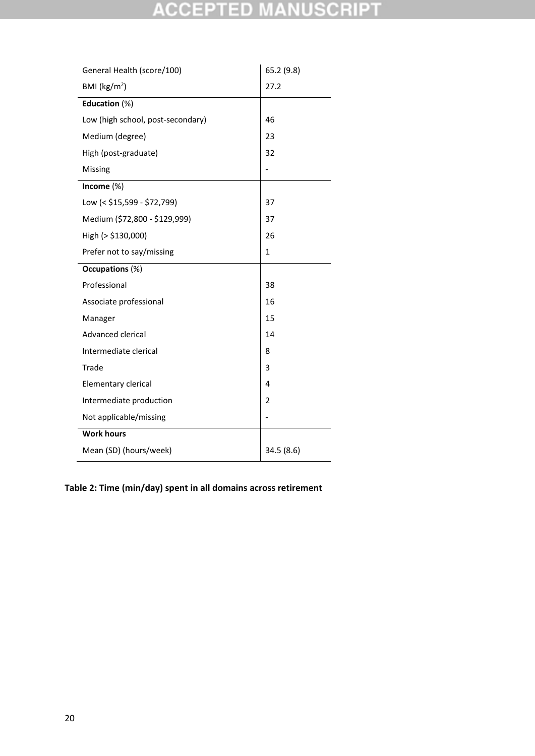## **ACCEPTED MANUSCRIPT**

| General Health (score/100)        | 65.2 (9.8)     |  |  |  |
|-----------------------------------|----------------|--|--|--|
| BMI ( $\text{kg/m}^2$ )           | 27.2           |  |  |  |
| Education (%)                     |                |  |  |  |
| Low (high school, post-secondary) | 46             |  |  |  |
| Medium (degree)                   | 23             |  |  |  |
| High (post-graduate)              | 32             |  |  |  |
| Missing                           |                |  |  |  |
| Income (%)                        |                |  |  |  |
| Low (< \$15,599 - \$72,799)       | 37             |  |  |  |
| Medium (\$72,800 - \$129,999)     | 37             |  |  |  |
| High (> \$130,000)                | 26             |  |  |  |
| Prefer not to say/missing         | 1              |  |  |  |
| Occupations (%)                   |                |  |  |  |
|                                   |                |  |  |  |
| Professional                      | 38             |  |  |  |
| Associate professional            | 16             |  |  |  |
| Manager                           | 15             |  |  |  |
| Advanced clerical                 | 14             |  |  |  |
| Intermediate clerical             | 8              |  |  |  |
| Trade                             | 3              |  |  |  |
| Elementary clerical               | 4              |  |  |  |
| Intermediate production           | $\overline{2}$ |  |  |  |
| Not applicable/missing            |                |  |  |  |
| <b>Work hours</b>                 |                |  |  |  |

**Table 2: Time (min/day) spent in all domains across retirement**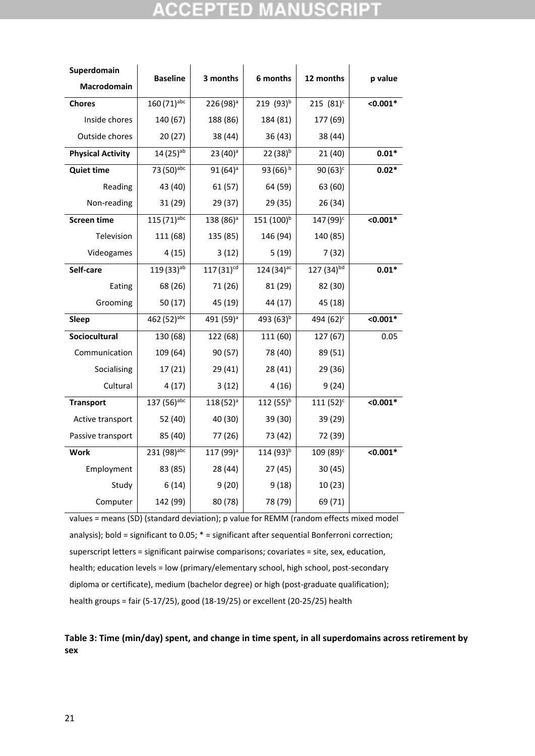## ED)

| Superdomain              | <b>Baseline</b>         | 3 months              | 6 months               | 12 months                           | p value      |
|--------------------------|-------------------------|-----------------------|------------------------|-------------------------------------|--------------|
| Macrodomain              |                         |                       |                        |                                     |              |
| <b>Chores</b>            | 160 (71)abc             | 226 (98) <sup>a</sup> | 219 $(93)^b$           | 215 $(81)^c$                        | $< 0.001*$   |
| Inside chores            | 140 (67)                | 188 (86)              | 184 (81)               | 177 (69)                            |              |
| Outside chores           | 20(27)                  | 38 (44)               | 36(43)                 | 38 (44)                             |              |
| <b>Physical Activity</b> | $14(25)$ <sup>ab</sup>  | $23(40)^a$            | $22(38)^{b}$           | 21(40)                              | $0.01*$      |
| <b>Quiet time</b>        | 73 (50)abc              | $91(64)^a$            | $93(66)^b$             | $90(63)^c$                          | $0.02*$      |
| Reading                  | 43 (40)                 | 61(57)                | 64 (59)                | 63 (60)                             |              |
| Non-reading              | 31 (29)                 | 29 (37)               | 29 (35)                | 26 (34)                             |              |
| <b>Screen time</b>       | 115 (71) <sup>abc</sup> | 138 (86) <sup>a</sup> | 151 (100) <sup>b</sup> | 147 (99) <sup>c</sup>               | $< 0.001*$   |
| Television               | 111 (68)                | 135 (85)              | 146 (94)               | 140 (85)                            |              |
| Videogames               | 4(15)                   | 3(12)                 | 5(19)                  | 7(32)                               |              |
| Self-care                | 119 (33) <sup>ab</sup>  | $117(31)^{cd}$        | $124(34)^{ac}$         | $\overline{127}$ (34) <sup>bd</sup> | $0.01*$      |
| Eating                   | 68 (26)                 | 71 (26)               | 81 (29)                | 82 (30)                             |              |
| Grooming                 | 50 (17)                 | 45 (19)               | 44 (17)                | 45 (18)                             |              |
| Sleep                    | 462 (52)abc             | 491 (59) <sup>a</sup> | 493 (63) <sup>b</sup>  | 494 (62) <sup>c</sup>               | $\le 0.001*$ |
| Sociocultural            | 130 (68)                | 122 (68)              | 111 (60)               | 127 (67)                            | 0.05         |
| Communication            | 109 (64)                | 90 (57)               | 78 (40)                | 89 (51)                             |              |
| Socialising              | 17(21)                  | 29 (41)               | 28(41)                 | 29 (36)                             |              |
| Cultural                 | 4(17)                   | 3(12)                 | 4(16)                  | 9(24)                               |              |
| <b>Transport</b>         | 137 (56)abc             | $118(52)^{a}$         | 112 $(55)^{b}$         | $111(52)^c$                         | $< 0.001*$   |
| Active transport         | 52 (40)                 | 40 (30)               | 39 (30)                | 39 (29)                             |              |
| Passive transport        | 85 (40)                 | 77 (26)               | 73 (42)                | 72 (39)                             |              |
| <b>Work</b>              | 231 (98)abc             | 117 (99) <sup>a</sup> | 114 (93) <sup>b</sup>  | 109 (89) <sup>c</sup>               | $< 0.001*$   |
| Employment               | 83 (85)                 | 28 (44)               | 27(45)                 | 30(45)                              |              |
| Study                    | 6(14)                   | 9(20)                 | 9(18)                  | 10(23)                              |              |
| Computer                 | 142 (99)                | 80 (78)               | 78 (79)                | 69 (71)                             |              |

```
values = means (SD) (standard deviation); p value for REMM (random effects mixed model 
analysis); bold = significant to 0.05; * = significant after sequential Bonferroni correction;
superscript letters = significant pairwise comparisons; covariates = site, sex, education, 
health; education levels = low (primary/elementary school, high school, post-secondary 
diploma or certificate), medium (bachelor degree) or high (post-graduate qualification); 
health groups = fair (5-17/25), good (18-19/25) or excellent (20-25/25) health
```
**Table 3: Time (min/day) spent, and change in time spent, in all superdomains across retirement by sex**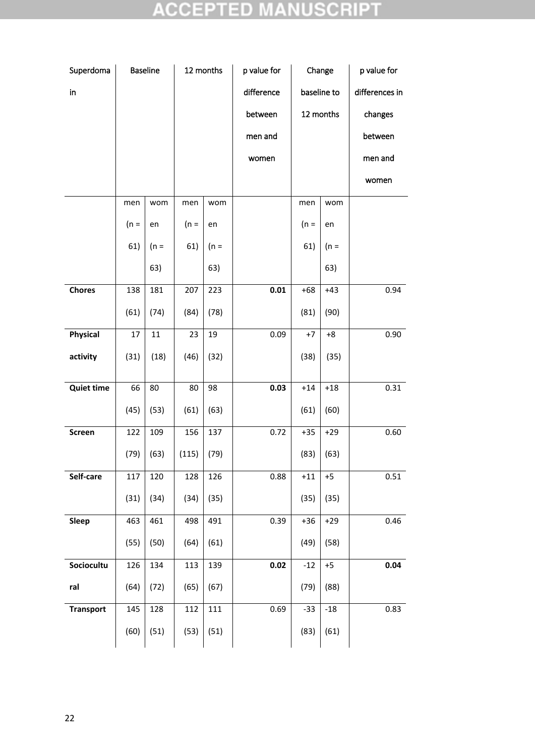## **ACCEPTED MANUSCRIPT**

| Superdoma         |        | <b>Baseline</b> | 12 months |        | p value for | Change |             | p value for    |  |
|-------------------|--------|-----------------|-----------|--------|-------------|--------|-------------|----------------|--|
| $\mathsf{in}$     |        |                 |           |        | difference  |        | baseline to | differences in |  |
|                   |        |                 |           |        | between     |        | 12 months   | changes        |  |
|                   |        |                 |           |        | men and     |        |             | between        |  |
|                   |        |                 |           |        | women       |        |             | men and        |  |
|                   |        |                 |           |        |             |        |             | women          |  |
|                   | men    | wom             | men       | wom    |             | men    | wom         |                |  |
|                   | $(n =$ | en              | $(n =$    | en     |             | $(n =$ | en          |                |  |
|                   | 61)    | $(n =$          | 61)       | $(n =$ |             | 61)    | $(n =$      |                |  |
|                   |        | 63)             |           | 63)    |             |        | 63)         |                |  |
| <b>Chores</b>     | 138    | 181             | 207       | 223    | 0.01        | $+68$  | $+43$       | 0.94           |  |
|                   | (61)   | (74)            | (84)      | (78)   |             | (81)   | (90)        |                |  |
| <b>Physical</b>   | 17     | 11              | 23        | 19     | 0.09        | $+7$   | $+8$        | 0.90           |  |
| activity          | (31)   | (18)            | (46)      | (32)   |             | (38)   | (35)        |                |  |
| <b>Quiet time</b> | 66     | 80              | 80        | 98     | 0.03        | $+14$  | $+18$       | 0.31           |  |
|                   | (45)   | (53)            | (61)      | (63)   |             | (61)   | (60)        |                |  |
| Screen            | 122    | 109             | 156       | 137    | 0.72        | $+35$  | $+29$       | 0.60           |  |
|                   | (79)   | (63)            | (115)     | (79)   |             | (83)   | (63)        |                |  |
| Self-care         | 117    | 120             | 128       | 126    | 0.88        | $+11$  | $+5$        | 0.51           |  |
|                   | (31)   | (34)            | (34)      | (35)   |             | (35)   | (35)        |                |  |
| Sleep             | 463    | 461             | 498       | 491    | 0.39        | $+36$  | $+29$       | 0.46           |  |
|                   | (55)   | (50)            | (64)      | (61)   |             | (49)   | (58)        |                |  |
| Sociocultu        | 126    | 134             | 113       | 139    | 0.02        | $-12$  | $+5$        | 0.04           |  |
| ral               | (64)   | (72)            | (65)      | (67)   |             | (79)   | (88)        |                |  |
| <b>Transport</b>  | 145    | 128             | 112       | 111    | 0.69        | $-33$  | $-18$       | 0.83           |  |
|                   | (60)   | (51)            | (53)      | (51)   |             | (83)   | (61)        |                |  |
|                   |        |                 |           |        |             |        |             |                |  |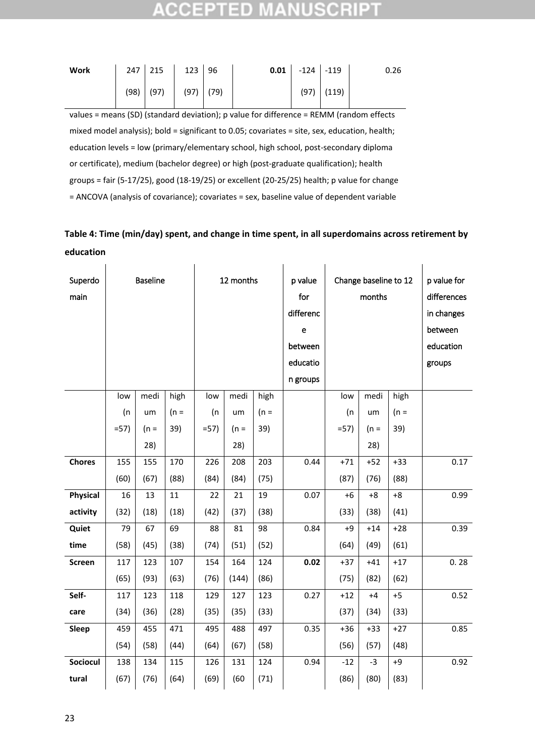## 132 H 3D

| Work                                                                                          |  | 247 215     | $123$ 96    |  | 0.01 | $-124$ $-119$ |       | 0.26 |  |
|-----------------------------------------------------------------------------------------------|--|-------------|-------------|--|------|---------------|-------|------|--|
|                                                                                               |  | $(98)$ (97) | $(97)$ (79) |  |      | (97)          | (119) |      |  |
| values = means (SD) (standard deviation); p value for difference = REMM (random effects       |  |             |             |  |      |               |       |      |  |
| mixed model analysis); bold = significant to 0.05; covariates = site, sex, education, health; |  |             |             |  |      |               |       |      |  |
| education levels = low (primary/elementary school, high school, post-secondary diploma        |  |             |             |  |      |               |       |      |  |

or certificate), medium (bachelor degree) or high (post-graduate qualification); health

groups = fair (5-17/25), good (18-19/25) or excellent (20-25/25) health; p value for change

= ANCOVA (analysis of covariance); covariates = sex, baseline value of dependent variable

## **Table 4: Time (min/day) spent, and change in time spent, in all superdomains across retirement by education**

| Superdo<br>main |       | <b>Baseline</b> |        | 12 months |        |        | p value<br>for<br>differenc<br>e<br>between<br>educatio |        | Change baseline to 12<br>months | p value for<br>differences<br>in changes<br>between<br>education<br>groups |      |
|-----------------|-------|-----------------|--------|-----------|--------|--------|---------------------------------------------------------|--------|---------------------------------|----------------------------------------------------------------------------|------|
|                 | low   | medi            | high   | low       | medi   | high   | n groups                                                | low    | medi                            | high                                                                       |      |
|                 | (n    | um              | $(n =$ | (n)       | um     | $(n =$ |                                                         | (n)    | um                              | $(n =$                                                                     |      |
|                 | $=57$ | $(n =$          | 39)    | $=57$     | $(n =$ | 39)    |                                                         | $= 57$ | $(n =$                          | 39)                                                                        |      |
|                 |       | 28)             |        |           | 28)    |        |                                                         |        | 28)                             |                                                                            |      |
| <b>Chores</b>   | 155   | 155             | 170    | 226       | 208    | 203    | 0.44                                                    | $+71$  | $+52$                           | $+33$                                                                      | 0.17 |
|                 | (60)  | (67)            | (88)   | (84)      | (84)   | (75)   |                                                         | (87)   | (76)                            | (88)                                                                       |      |
| <b>Physical</b> | 16    | 13              | 11     | 22        | 21     | 19     | 0.07                                                    | $+6$   | $+8$                            | $+8$                                                                       | 0.99 |
| activity        | (32)  | (18)            | (18)   | (42)      | (37)   | (38)   |                                                         | (33)   | (38)                            | (41)                                                                       |      |
| Quiet           | 79    | 67              | 69     | 88        | 81     | 98     | 0.84                                                    | $+9$   | $+14$                           | $+28$                                                                      | 0.39 |
| time            | (58)  | (45)            | (38)   | (74)      | (51)   | (52)   |                                                         | (64)   | (49)                            | (61)                                                                       |      |
| <b>Screen</b>   | 117   | 123             | 107    | 154       | 164    | 124    | 0.02                                                    | $+37$  | $+41$                           | $+17$                                                                      | 0.28 |
|                 | (65)  | (93)            | (63)   | (76)      | (144)  | (86)   |                                                         | (75)   | (82)                            | (62)                                                                       |      |
| Self-           | 117   | 123             | 118    | 129       | 127    | 123    | 0.27                                                    | $+12$  | $+4$                            | $+5$                                                                       | 0.52 |
| care            | (34)  | (36)            | (28)   | (35)      | (35)   | (33)   |                                                         | (37)   | (34)                            | (33)                                                                       |      |
| <b>Sleep</b>    | 459   | 455             | 471    | 495       | 488    | 497    | 0.35                                                    | $+36$  | $+33$                           | $+27$                                                                      | 0.85 |
|                 | (54)  | (58)            | (44)   | (64)      | (67)   | (58)   |                                                         | (56)   | (57)                            | (48)                                                                       |      |
| <b>Sociocul</b> | 138   | 134             | 115    | 126       | 131    | 124    | 0.94                                                    | $-12$  | $-3$                            | $+9$                                                                       | 0.92 |
| tural           | (67)  | (76)            | (64)   | (69)      | (60)   | (71)   |                                                         | (86)   | (80)                            | (83)                                                                       |      |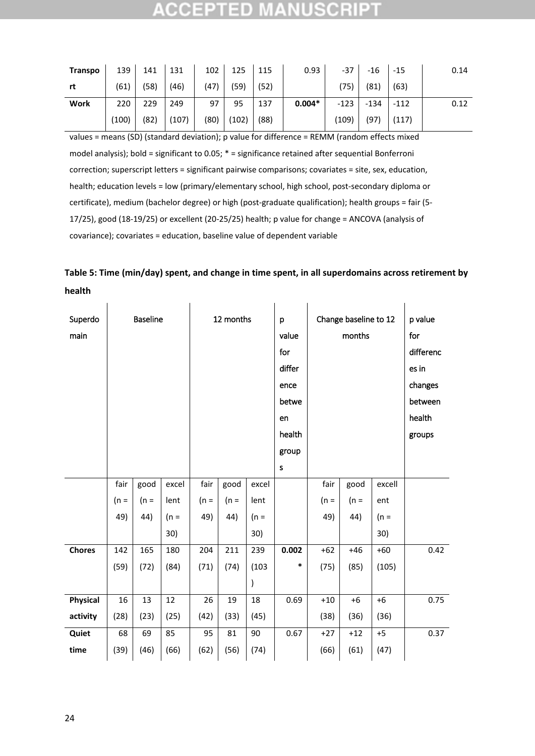| <b>Transpo</b> | 139   | 141  | 131   | 102  | 125   | 115  | 0.93     | $-37$  | -16    | $-15$  | 0.14 |
|----------------|-------|------|-------|------|-------|------|----------|--------|--------|--------|------|
| rt             | (61)  | (58) | (46)  | (47) | (59)  | (52) |          | (75)   | (81)   | (63)   |      |
| <b>Work</b>    | 220   | 229  | 249   | 97   | 95    | 137  | $0.004*$ | $-123$ | $-134$ | $-112$ | 0.12 |
|                | (100) | (82) | (107) | (80) | (102) | (88) |          | (109)  | (97)   | (117)  |      |

values = means (SD) (standard deviation); p value for difference = REMM (random effects mixed model analysis); bold = significant to 0.05; \* = significance retained after sequential Bonferroni correction; superscript letters = significant pairwise comparisons; covariates = site, sex, education, health; education levels = low (primary/elementary school, high school, post-secondary diploma or certificate), medium (bachelor degree) or high (post-graduate qualification); health groups = fair (5- 17/25), good (18-19/25) or excellent (20-25/25) health; p value for change = ANCOVA (analysis of covariance); covariates = education, baseline value of dependent variable

| Table 5: Time (min/day) spent, and change in time spent, in all superdomains across retirement by |  |
|---------------------------------------------------------------------------------------------------|--|
| health                                                                                            |  |

| Superdo<br>main | <b>Baseline</b> |        |        |        | 12 months |        | p<br>value<br>for<br>differ<br>ence<br>betwe |        | Change baseline to 12<br>months |        |                  |  |
|-----------------|-----------------|--------|--------|--------|-----------|--------|----------------------------------------------|--------|---------------------------------|--------|------------------|--|
|                 |                 |        |        |        |           |        | en<br>health                                 |        |                                 |        | health<br>groups |  |
|                 |                 |        |        |        |           |        | group                                        |        |                                 |        |                  |  |
|                 |                 |        |        |        |           |        | S                                            |        |                                 |        |                  |  |
|                 | fair            | good   | excel  | fair   | good      | excel  |                                              | fair   | good                            | excell |                  |  |
|                 | $(n =$          | $(n =$ | lent   | $(n =$ | $(n =$    | lent   |                                              | $(n =$ | $(n =$                          | ent    |                  |  |
|                 | 49)             | 44)    | $(n =$ | 49)    | 44)       | $(n =$ |                                              | 49)    | 44)                             | $(n =$ |                  |  |
|                 |                 |        | 30)    |        |           | 30)    |                                              |        |                                 | 30)    |                  |  |
| <b>Chores</b>   | 142             | 165    | 180    | 204    | 211       | 239    | 0.002                                        | $+62$  | $+46$                           | $+60$  | 0.42             |  |
|                 | (59)            | (72)   | (84)   | (71)   | (74)      | (103)  | *                                            | (75)   | (85)                            | (105)  |                  |  |
|                 |                 |        |        |        |           | )      |                                              |        |                                 |        |                  |  |
| <b>Physical</b> | 16              | 13     | 12     | 26     | 19        | 18     | 0.69                                         | $+10$  | $+6$                            | $+6$   | 0.75             |  |
| activity        | (28)            | (23)   | (25)   | (42)   | (33)      | (45)   |                                              | (38)   | (36)                            | (36)   |                  |  |
| Quiet           | 68              | 69     | 85     | 95     | 81        | 90     | 0.67                                         | $+27$  | $+12$                           | $+5$   | 0.37             |  |
| time            | (39)            | (46)   | (66)   | (62)   | (56)      | (74)   |                                              | (66)   | (61)                            | (47)   |                  |  |